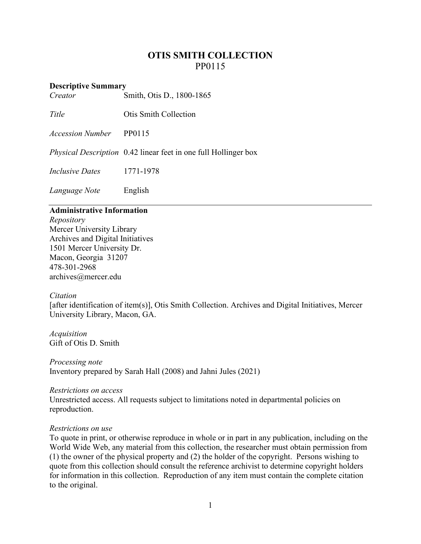# **OTIS SMITH COLLECTION** PP0115

### **Descriptive Summary**

*Creator* Smith, Otis D., 1800-1865

*Title* **Otis Smith Collection** 

*Accession Number* PP0115

*Physical Description* 0.42 linear feet in one full Hollinger box

*Inclusive Dates* 1771-1978

*Language Note* English

## **Administrative Information**

*Repository* Mercer University Library Archives and Digital Initiatives 1501 Mercer University Dr. Macon, Georgia 31207 478-301-2968 [archives@mercer.edu](mailto:archives@mercer.edu)

#### *Citation*

[after identification of item(s)], Otis Smith Collection. Archives and Digital Initiatives, Mercer University Library, Macon, GA.

*Acquisition* Gift of Otis D. Smith

*Processing note* Inventory prepared by Sarah Hall (2008) and Jahni Jules (2021)

#### *Restrictions on access*

Unrestricted access. All requests subject to limitations noted in departmental policies on reproduction.

## *Restrictions on use*

To quote in print, or otherwise reproduce in whole or in part in any publication, including on the World Wide Web, any material from this collection, the researcher must obtain permission from (1) the owner of the physical property and (2) the holder of the copyright. Persons wishing to quote from this collection should consult the reference archivist to determine copyright holders for information in this collection. Reproduction of any item must contain the complete citation to the original.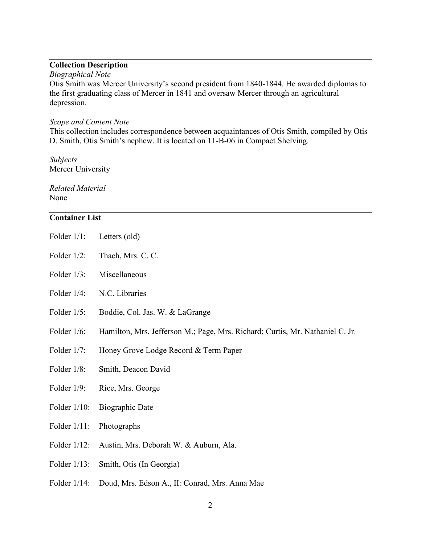## **Collection Description**

#### *Biographical Note*

Otis Smith was Mercer University's second president from 1840-1844. He awarded diplomas to the first graduating class of Mercer in 1841 and oversaw Mercer through an agricultural depression.

#### *Scope and Content Note*

This collection includes correspondence between acquaintances of Otis Smith, compiled by Otis D. Smith, Otis Smith's nephew. It is located on 11-B-06 in Compact Shelving.

*Subjects* Mercer University

*Related Material* None

## **Container List**

- Folder 1/1: Letters (old)
- Folder  $1/2$ : Thach, Mrs. C. C.
- Folder 1/3: Miscellaneous
- Folder 1/4: N.C. Libraries
- Folder 1/5: Boddie, Col. Jas. W. & LaGrange
- Folder 1/6: Hamilton, Mrs. Jefferson M.; Page, Mrs. Richard; Curtis, Mr. Nathaniel C. Jr.
- Folder 1/7: Honey Grove Lodge Record & Term Paper
- Folder 1/8: Smith, Deacon David
- Folder 1/9: Rice, Mrs. George
- Folder 1/10: Biographic Date
- Folder 1/11: Photographs
- Folder 1/12: Austin, Mrs. Deborah W. & Auburn, Ala.
- Folder 1/13: Smith, Otis (In Georgia)
- Folder 1/14: Doud, Mrs. Edson A., II: Conrad, Mrs. Anna Mae